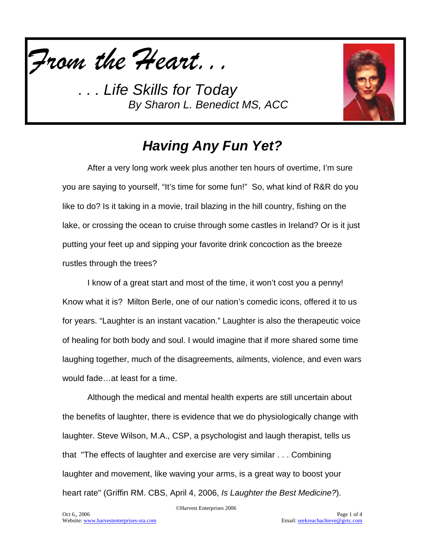



# *Having Any Fun Yet?*

After a very long work week plus another ten hours of overtime, I'm sure you are saying to yourself, "It's time for some fun!" So, what kind of R&R do you like to do? Is it taking in a movie, trail blazing in the hill country, fishing on the lake, or crossing the ocean to cruise through some castles in Ireland? Or is it just putting your feet up and sipping your favorite drink concoction as the breeze rustles through the trees?

I know of a great start and most of the time, it won't cost you a penny! Know what it is? Milton Berle, one of our nation's comedic icons, offered it to us for years. "Laughter is an instant vacation." Laughter is also the therapeutic voice of healing for both body and soul. I would imagine that if more shared some time laughing together, much of the disagreements, ailments, violence, and even wars would fade…at least for a time.

Although the medical and mental health experts are still uncertain about the benefits of laughter, there is evidence that we do physiologically change with laughter. Steve Wilson, M.A., CSP, a psychologist and laugh therapist, tells us that "The effects of laughter and exercise are very similar . . . Combining laughter and movement, like waving your arms, is a great way to boost your heart rate" (Griffin RM. CBS, April 4, 2006, *Is Laughter the Best Medicine?*).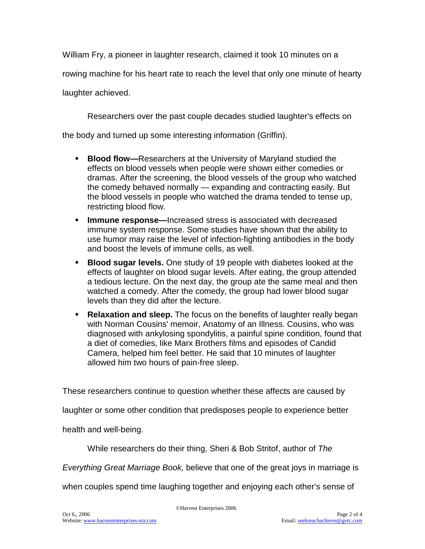William Fry, a pioneer in laughter research, claimed it took 10 minutes on a

rowing machine for his heart rate to reach the level that only one minute of hearty

laughter achieved.

Researchers over the past couple decades studied laughter's effects on

the body and turned up some interesting information (Griffin).

- **Blood flow—**Researchers at the University of Maryland studied the effects on blood vessels when people were shown either comedies or dramas. After the screening, the blood vessels of the group who watched the comedy behaved normally — expanding and contracting easily. But the blood vessels in people who watched the drama tended to tense up, restricting blood flow.
- **Immune response—Increased stress is associated with decreased** immune system response. Some studies have shown that the ability to use humor may raise the level of infection-fighting antibodies in the body and boost the levels of immune cells, as well.
- **Blood sugar levels.** One study of 19 people with diabetes looked at the effects of laughter on blood sugar levels. After eating, the group attended a tedious lecture. On the next day, the group ate the same meal and then watched a comedy. After the comedy, the group had lower blood sugar levels than they did after the lecture.
- **Relaxation and sleep.** The focus on the benefits of laughter really began with Norman Cousins' memoir, Anatomy of an Illness. Cousins, who was diagnosed with ankylosing spondylitis, a painful spine condition, found that a diet of comedies, like Marx Brothers films and episodes of Candid Camera, helped him feel better. He said that 10 minutes of laughter allowed him two hours of pain-free sleep.

These researchers continue to question whether these affects are caused by

laughter or some other condition that predisposes people to experience better

health and well-being.

While researchers do their thing, Sheri & Bob Stritof, author of *The* 

*Everything Great Marriage Book,* believe that one of the great joys in marriage is

when couples spend time laughing together and enjoying each other's sense of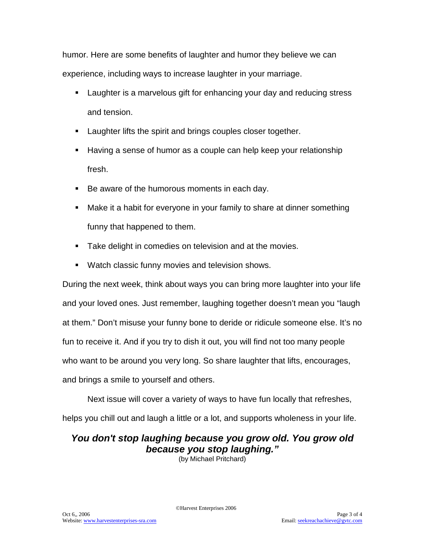humor. Here are some benefits of laughter and humor they believe we can experience, including ways to increase laughter in your marriage.

- Laughter is a marvelous gift for enhancing your day and reducing stress and tension.
- **Laughter lifts the spirit and brings couples closer together.**
- Having a sense of humor as a couple can help keep your relationship fresh.
- Be aware of the humorous moments in each day.
- Make it a habit for everyone in your family to share at dinner something funny that happened to them.
- **Take delight in comedies on television and at the movies.**
- **Watch classic funny movies and television shows.**

During the next week, think about ways you can bring more laughter into your life and your loved ones. Just remember, laughing together doesn't mean you "laugh at them." Don't misuse your funny bone to deride or ridicule someone else. It's no fun to receive it. And if you try to dish it out, you will find not too many people who want to be around you very long. So share laughter that lifts, encourages, and brings a smile to yourself and others.

Next issue will cover a variety of ways to have fun locally that refreshes,

helps you chill out and laugh a little or a lot, and supports wholeness in your life.

# *You don't stop laughing because you grow old. You grow old because you stop laughing."*

(by Michael Pritchard)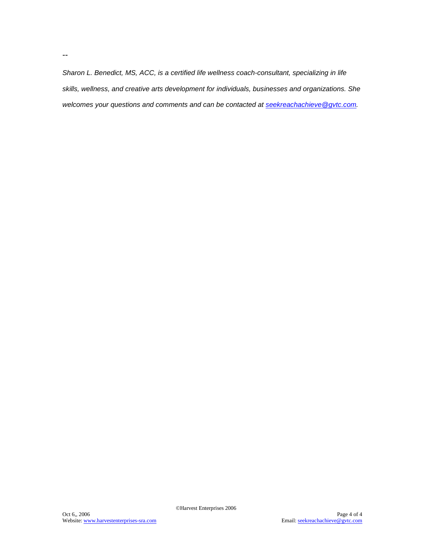*Sharon L. Benedict, MS, ACC, is a certified life wellness coach-consultant, specializing in life skills, wellness, and creative arts development for individuals, businesses and organizations. She welcomes your questions and comments and can be contacted at [seekreachachieve@gvtc.com.](mailto:seekreachachieve@gvtc.com)*

--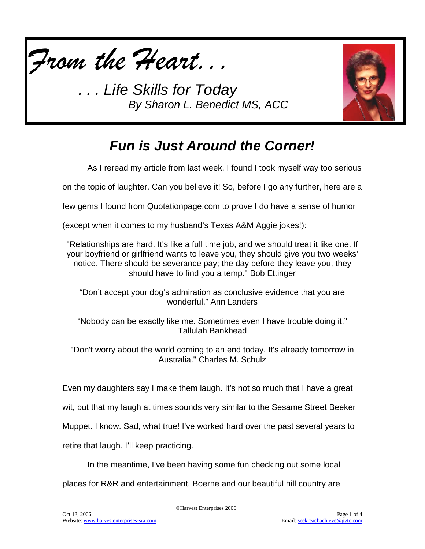



# *Fun is Just Around the Corner!*

As I reread my article from last week, I found I took myself way too serious

on the topic of laughter. Can you believe it! So, before I go any further, here are a

few gems I found from Quotationpage.com to prove I do have a sense of humor

(except when it comes to my husband's Texas A&M Aggie jokes!):

"Relationships are hard. It's like a full time job, and we should treat it like one. If your boyfriend or girlfriend wants to leave you, they should give you two weeks' notice. There should be severance pay; the day before they leave you, they should have to find you a temp." Bob Ettinger

"Don't accept your dog's admiration as conclusive evidence that you are wonderful." Ann Landers

"Nobody can be exactly like me. Sometimes even I have trouble doing it." Tallulah Bankhead

"Don't worry about the world coming to an end today. It's already tomorrow in Australia." Charles M. Schulz

Even my daughters say I make them laugh. It's not so much that I have a great

wit, but that my laugh at times sounds very similar to the Sesame Street Beeker

Muppet. I know. Sad, what true! I've worked hard over the past several years to

retire that laugh. I'll keep practicing.

In the meantime, I've been having some fun checking out some local

places for R&R and entertainment. Boerne and our beautiful hill country are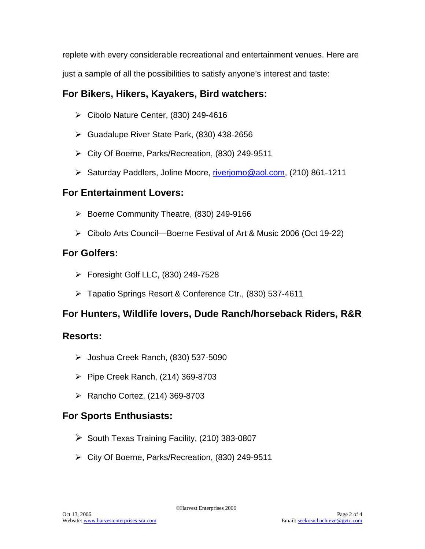replete with every considerable recreational and entertainment venues. Here are just a sample of all the possibilities to satisfy anyone's interest and taste:

## **For Bikers, Hikers, Kayakers, Bird watchers:**

- $\triangleright$  Cibolo Nature Center, (830) 249-4616
- Guadalupe River State Park, (830) 438-2656
- City Of Boerne, Parks/Recreation, (830) 249-9511
- > Saturday Paddlers, Joline Moore, [riverjomo@aol.com,](mailto:riverjomo@aol.com) (210) 861-1211

## **For Entertainment Lovers:**

- $\triangleright$  Boerne Community Theatre, (830) 249-9166
- Cibolo Arts Council—Boerne Festival of Art & Music 2006 (Oct 19-22)

# **For Golfers:**

- Foresight Golf LLC, (830) 249-7528
- Tapatio Springs Resort & Conference Ctr., (830) 537-4611

## **For Hunters, Wildlife lovers, Dude Ranch/horseback Riders, R&R**

### **Resorts:**

- $\blacktriangleright$  Joshua Creek Ranch, (830) 537-5090
- $\triangleright$  Pipe Creek Ranch, (214) 369-8703
- $\triangleright$  Rancho Cortez, (214) 369-8703

## **For Sports Enthusiasts:**

- $\triangleright$  South Texas Training Facility, (210) 383-0807
- City Of Boerne, Parks/Recreation, (830) 249-9511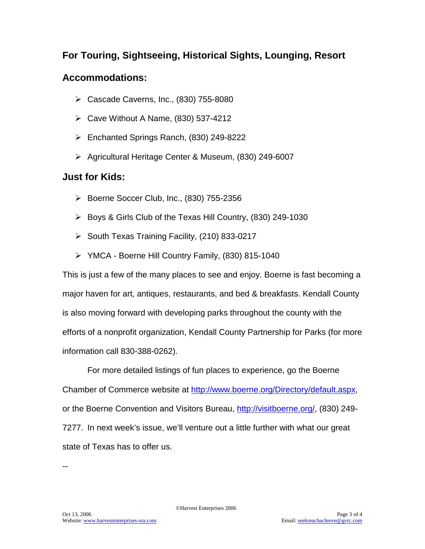### **For Touring, Sightseeing, Historical Sights, Lounging, Resort**

## **Accommodations:**

- Cascade Caverns, Inc., (830) 755-8080
- $\triangleright$  Cave Without A Name, (830) 537-4212
- Enchanted Springs Ranch, (830) 249-8222
- ▶ Agricultural Heritage Center & Museum, (830) 249-6007

## **Just for Kids:**

- $\triangleright$  Boerne Soccer Club, Inc., (830) 755-2356
- Boys & Girls Club of the Texas Hill Country, (830) 249-1030
- $\triangleright$  South Texas Training Facility, (210) 833-0217
- YMCA Boerne Hill Country Family, (830) 815-1040

This is just a few of the many places to see and enjoy. Boerne is fast becoming a major haven for art, antiques, restaurants, and bed & breakfasts. Kendall County is also moving forward with developing parks throughout the county with the efforts of a nonprofit organization, Kendall County Partnership for Parks (for more information call 830-388-0262).

For more detailed listings of fun places to experience, go the Boerne Chamber of Commerce website at [http://www.boerne.org/Directory/default.aspx,](http://www.boerne.org/Directory/default.aspx) or the Boerne Convention and Visitors Bureau, [http://visitboerne.org/,](http://visitboerne.org/) (830) 249- 7277. In next week's issue, we'll venture out a little further with what our great state of Texas has to offer us.

--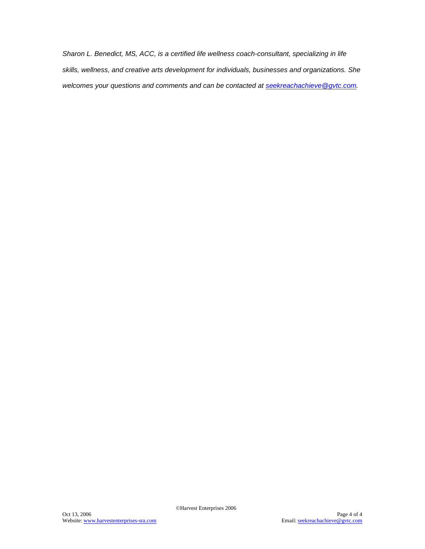*Sharon L. Benedict, MS, ACC, is a certified life wellness coach-consultant, specializing in life skills, wellness, and creative arts development for individuals, businesses and organizations. She welcomes your questions and comments and can be contacted at [seekreachachieve@gvtc.com.](mailto:seekreachachieve@gvtc.com)*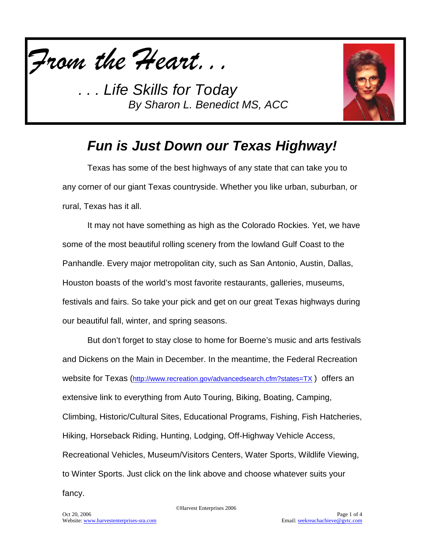



# *Fun is Just Down our Texas Highway!*

Texas has some of the best highways of any state that can take you to any corner of our giant Texas countryside. Whether you like urban, suburban, or rural, Texas has it all.

It may not have something as high as the Colorado Rockies. Yet, we have some of the most beautiful rolling scenery from the lowland Gulf Coast to the Panhandle. Every major metropolitan city, such as San Antonio, Austin, Dallas, Houston boasts of the world's most favorite restaurants, galleries, museums, festivals and fairs. So take your pick and get on our great Texas highways during our beautiful fall, winter, and spring seasons.

But don't forget to stay close to home for Boerne's music and arts festivals and Dickens on the Main in December. In the meantime, the Federal Recreation website for Texas [\(http://www.recreation.gov/advancedsearch.cfm?states=TX](http://www.recreation.gov/advancedsearch.cfm?states=TX)) offers an extensive link to everything from Auto Touring, Biking, Boating, Camping, Climbing, Historic/Cultural Sites, Educational Programs, Fishing, Fish Hatcheries, Hiking, Horseback Riding, Hunting, Lodging, Off-Highway Vehicle Access, Recreational Vehicles, Museum/Visitors Centers, Water Sports, Wildlife Viewing, to Winter Sports. Just click on the link above and choose whatever suits your fancy.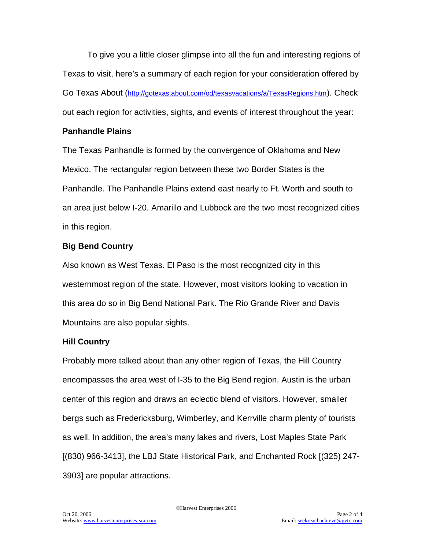To give you a little closer glimpse into all the fun and interesting regions of Texas to visit, here's a summary of each region for your consideration offered by Go Texas About [\(http://gotexas.about.com/od/texasvacations/a/TexasRegions.htm\)](http://gotexas.about.com/od/texasvacations/a/TexasRegions.htm). Check out each region for activities, sights, and events of interest throughout the year:

### **Panhandle Plains**

The Texas Panhandle is formed by the convergence of Oklahoma and New Mexico. The rectangular region between these two Border States is the Panhandle. The Panhandle Plains extend east nearly to Ft. Worth and south to an area just below I-20. Amarillo and Lubbock are the two most recognized cities in this region.

### **Big Bend Country**

Also known as West Texas. El Paso is the most recognized city in this westernmost region of the state. However, most visitors looking to vacation in this area do so in Big Bend National Park. The Rio Grande River and Davis Mountains are also popular sights.

### **Hill Country**

Probably more talked about than any other region of Texas, the Hill Country encompasses the area west of I-35 to the Big Bend region. Austin is the urban center of this region and draws an eclectic blend of visitors. However, smaller bergs such as Fredericksburg, Wimberley, and Kerrville charm plenty of tourists as well. In addition, the area's many lakes and rivers, Lost Maples State Park [(830) 966-3413], the LBJ State Historical Park, and Enchanted Rock [(325) 247- 3903] are popular attractions.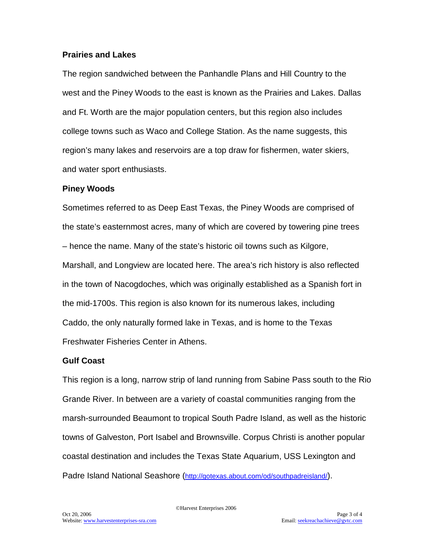#### **Prairies and Lakes**

The region sandwiched between the Panhandle Plans and Hill Country to the west and the Piney Woods to the east is known as the Prairies and Lakes. Dallas and Ft. Worth are the major population centers, but this region also includes college towns such as Waco and College Station. As the name suggests, this region's many lakes and reservoirs are a top draw for fishermen, water skiers, and water sport enthusiasts.

#### **Piney Woods**

Sometimes referred to as Deep East Texas, the Piney Woods are comprised of the state's easternmost acres, many of which are covered by towering pine trees – hence the name. Many of the state's historic oil towns such as Kilgore, Marshall, and Longview are located here. The area's rich history is also reflected in the town of Nacogdoches, which was originally established as a Spanish fort in the mid-1700s. This region is also known for its numerous lakes, including Caddo, the only naturally formed lake in Texas, and is home to the Texas Freshwater Fisheries Center in Athens.

#### **Gulf Coast**

This region is a long, narrow strip of land running from Sabine Pass south to the Rio Grande River. In between are a variety of coastal communities ranging from the marsh-surrounded Beaumont to tropical South Padre Island, as well as the historic towns of Galveston, Port Isabel and Brownsville. Corpus Christi is another popular coastal destination and includes the Texas State Aquarium, USS Lexington and Padre Island National Seashore [\(http://gotexas.about.com/od/southpadreisland/\)](http://gotexas.about.com/od/southpadreisland/).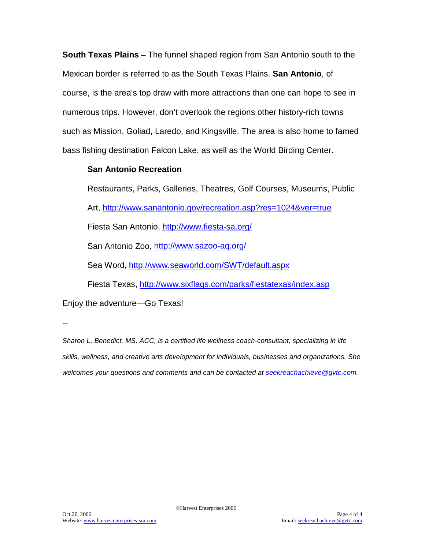**South Texas Plains** – The funnel shaped region from San Antonio south to the Mexican border is referred to as the South Texas Plains. **San Antonio**, of course, is the area's top draw with more attractions than one can hope to see in numerous trips. However, don't overlook the regions other history-rich towns such as Mission, Goliad, Laredo, and Kingsville. The area is also home to famed bass fishing destination Falcon Lake, as well as the World Birding Center.

#### **San Antonio Recreation**

Restaurants, Parks, Galleries, Theatres, Golf Courses, Museums, Public Art,<http://www.sanantonio.gov/recreation.asp?res=1024&ver=true> Fiesta San Antonio,<http://www.fiesta-sa.org/> San Antonio Zoo,<http://www.sazoo-aq.org/> Sea Word, <http://www.seaworld.com/SWT/default.aspx> Fiesta Texas,<http://www.sixflags.com/parks/fiestatexas/index.asp> Enjoy the adventure—Go Texas!

--

*Sharon L. Benedict, MS, ACC, is a certified life wellness coach-consultant, specializing in life skills, wellness, and creative arts development for individuals, businesses and organizations. She welcomes your questions and comments and can be contacted at [seekreachachieve@gvtc.com.](mailto:seekreachachieve@gvtc.com)*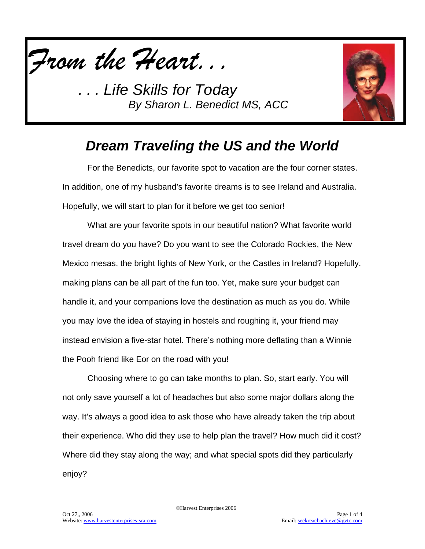



# *Dream Traveling the US and the World*

For the Benedicts, our favorite spot to vacation are the four corner states. In addition, one of my husband's favorite dreams is to see Ireland and Australia. Hopefully, we will start to plan for it before we get too senior!

What are your favorite spots in our beautiful nation? What favorite world travel dream do you have? Do you want to see the Colorado Rockies, the New Mexico mesas, the bright lights of New York, or the Castles in Ireland? Hopefully, making plans can be all part of the fun too. Yet, make sure your budget can handle it, and your companions love the destination as much as you do. While you may love the idea of staying in hostels and roughing it, your friend may instead envision a five-star hotel. There's nothing more deflating than a Winnie the Pooh friend like Eor on the road with you!

Choosing where to go can take months to plan. So, start early. You will not only save yourself a lot of headaches but also some major dollars along the way. It's always a good idea to ask those who have already taken the trip about their experience. Who did they use to help plan the travel? How much did it cost? Where did they stay along the way; and what special spots did they particularly enjoy?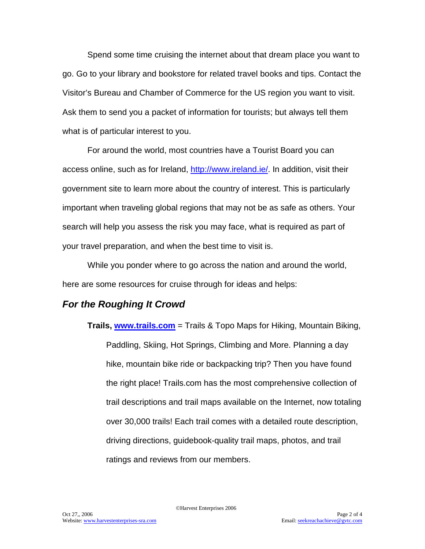Spend some time cruising the internet about that dream place you want to go. Go to your library and bookstore for related travel books and tips. Contact the Visitor's Bureau and Chamber of Commerce for the US region you want to visit. Ask them to send you a packet of information for tourists; but always tell them what is of particular interest to you.

For around the world, most countries have a Tourist Board you can access online, such as for Ireland, [http://www.ireland.ie/.](http://www.ireland.ie/) In addition, visit their government site to learn more about the country of interest. This is particularly important when traveling global regions that may not be as safe as others. Your search will help you assess the risk you may face, what is required as part of your travel preparation, and when the best time to visit is.

While you ponder where to go across the nation and around the world, here are some resources for cruise through for ideas and helps:

### *For the Roughing It Crowd*

**Trails, [www.trails.com](http://www.trails.com/)** = Trails & Topo Maps for Hiking, Mountain Biking, Paddling, Skiing, Hot Springs, Climbing and More. Planning a day hike, mountain bike ride or backpacking trip? Then you have found the right place! Trails.com has the most comprehensive collection of trail descriptions and trail maps available on the Internet, now totaling over 30,000 trails! Each trail comes with a detailed route description, driving directions, guidebook-quality trail maps, photos, and trail ratings and reviews from our members.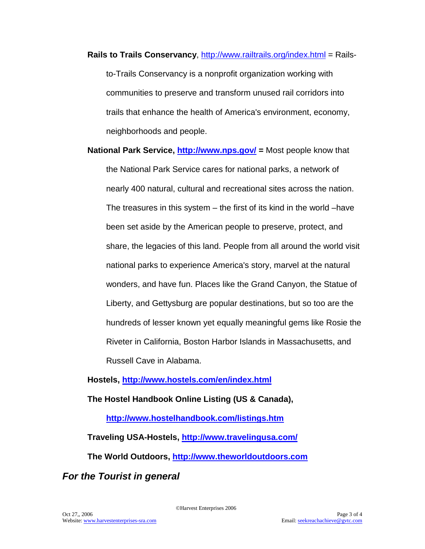- **Rails to Trails Conservancy**,<http://www.railtrails.org/index.html> = Railsto-Trails Conservancy is a nonprofit organization working with communities to preserve and transform unused rail corridors into trails that enhance the health of America's environment, economy, neighborhoods and people.
- **National Park Service,<http://www.nps.gov/> =** Most people know that the National Park Service cares for national parks, a network of nearly 400 natural, cultural and recreational sites across the nation. The treasures in this system – the first of its kind in the world –have been set aside by the American people to preserve, protect, and share, the legacies of this land. People from all around the world visit national parks to experience America's story, marvel at the natural wonders, and have fun. Places like the Grand Canyon, the Statue of Liberty, and Gettysburg are popular destinations, but so too are the hundreds of lesser known yet equally meaningful gems like Rosie the Riveter in California, Boston Harbor Islands in Massachusetts, and Russell Cave in Alabama.

### **Hostels,<http://www.hostels.com/en/index.html>**

**The Hostel Handbook Online Listing (US & Canada),** 

**<http://www.hostelhandbook.com/listings.htm>**

**Traveling USA-Hostels,<http://www.travelingusa.com/>**

**The World Outdoors, [http://www.theworldoutdoors.com](http://www.theworldoutdoors.com/)**

*For the Tourist in general*